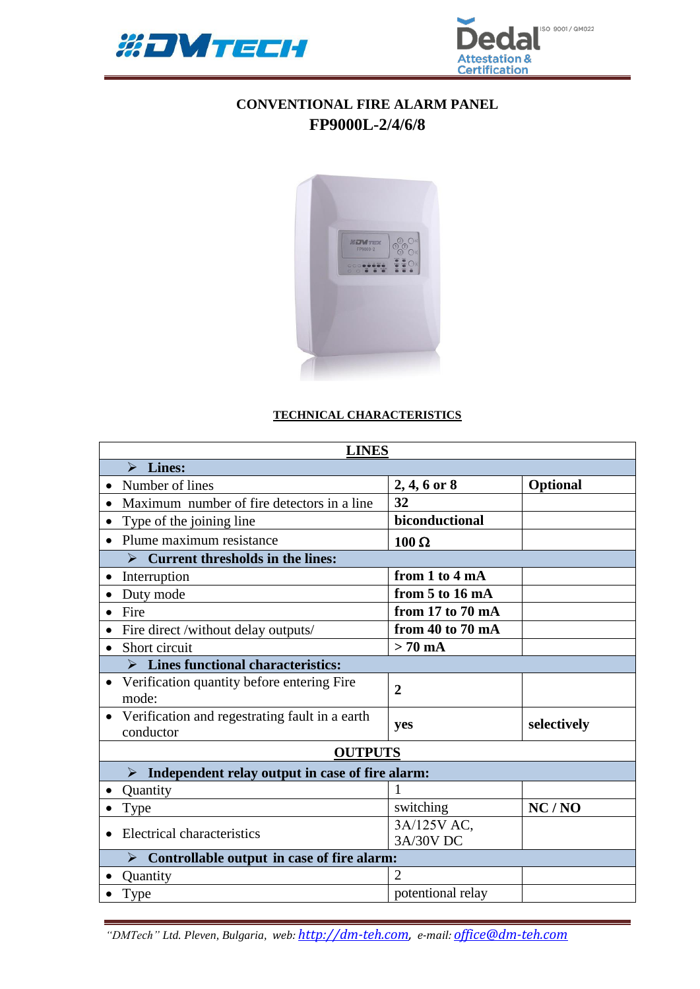



## **CONVENTIONAL FIRE ALARM PANEL FP9000L-2/4/6/8**



## **TECHNICAL CHARACTERISTICS**

| <b>LINES</b>                                                             |                   |                 |  |  |
|--------------------------------------------------------------------------|-------------------|-----------------|--|--|
| Lines:<br>➤                                                              |                   |                 |  |  |
| Number of lines                                                          | $2, 4, 6$ or 8    | <b>Optional</b> |  |  |
| Maximum number of fire detectors in a line<br>$\bullet$                  | 32                |                 |  |  |
| Type of the joining line<br>$\bullet$                                    | biconductional    |                 |  |  |
| Plume maximum resistance<br>$\bullet$                                    | $100 \Omega$      |                 |  |  |
| <b>Current thresholds in the lines:</b>                                  |                   |                 |  |  |
| Interruption<br>$\bullet$                                                | from 1 to 4 mA    |                 |  |  |
| Duty mode                                                                | from 5 to 16 mA   |                 |  |  |
| Fire                                                                     | from 17 to 70 mA  |                 |  |  |
| Fire direct /without delay outputs/                                      | from 40 to 70 mA  |                 |  |  |
| Short circuit                                                            | $> 70$ mA         |                 |  |  |
| $\triangleright$ Lines functional characteristics:                       |                   |                 |  |  |
| Verification quantity before entering Fire<br>mode:                      | $\overline{2}$    |                 |  |  |
| • Verification and regestrating fault in a earth<br>conductor            | yes               | selectively     |  |  |
| <b>OUTPUTS</b>                                                           |                   |                 |  |  |
| Independent relay output in case of fire alarm:<br>$\blacktriangleright$ |                   |                 |  |  |
| Quantity                                                                 | 1                 |                 |  |  |
| Type<br>$\bullet$                                                        | switching         | NC/NO           |  |  |
| Electrical characteristics<br>$\bullet$                                  | 3A/125V AC,       |                 |  |  |
|                                                                          | 3A/30V DC         |                 |  |  |
| $\triangleright$ Controllable output in case of fire alarm:              |                   |                 |  |  |
| Quantity                                                                 | $\overline{2}$    |                 |  |  |
| Type                                                                     | potentional relay |                 |  |  |

*"DMTech" Ltd. Pleven, Bulgaria, web: [http://dm-teh.com,](http://dm-teh.com/) e-mail: [office@dm-teh.com](mailto:office@dm-teh.com)*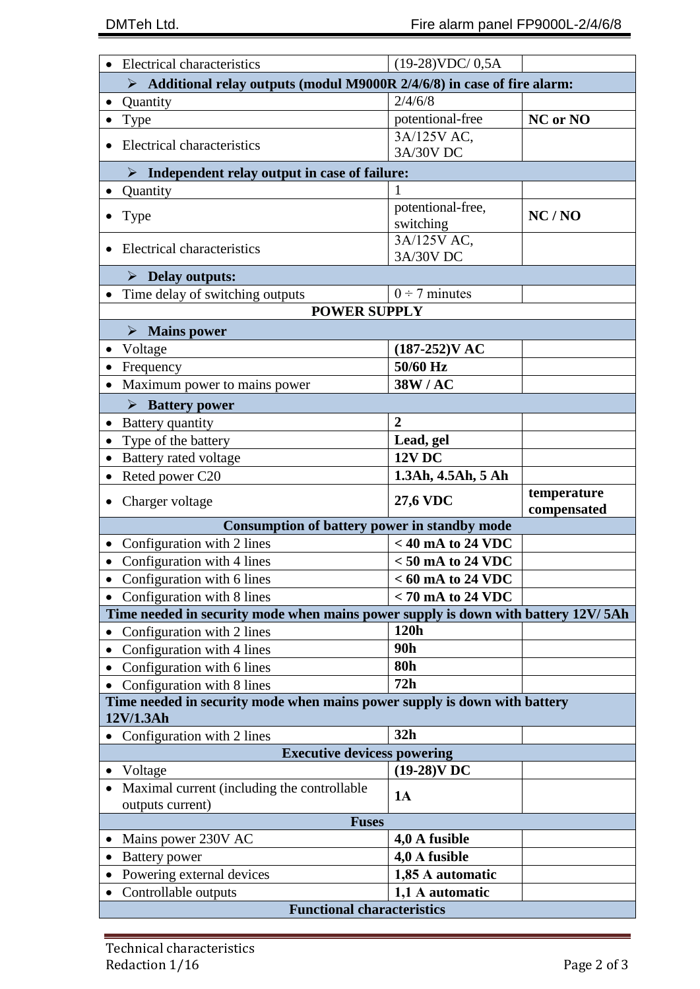| <b>Electrical characteristics</b>                                                      | $(19-28)$ VDC/ $0,5A$               |                            |  |  |
|----------------------------------------------------------------------------------------|-------------------------------------|----------------------------|--|--|
| Additional relay outputs (modul M9000R 2/4/6/8) in case of fire alarm:<br>➤            |                                     |                            |  |  |
| Quantity                                                                               | 2/4/6/8                             |                            |  |  |
| Type                                                                                   | potentional-free                    | NC or NO                   |  |  |
|                                                                                        | 3A/125V AC,                         |                            |  |  |
| Electrical characteristics                                                             | 3A/30V DC                           |                            |  |  |
| $\triangleright$ Independent relay output in case of failure:                          |                                     |                            |  |  |
| Quantity                                                                               |                                     |                            |  |  |
| <b>Type</b>                                                                            | potentional-free,<br>switching      | NC/NO                      |  |  |
| Electrical characteristics                                                             | 3A/125V AC,<br>3A/30V DC            |                            |  |  |
| $\triangleright$ Delay outputs:                                                        |                                     |                            |  |  |
| Time delay of switching outputs                                                        | $0 \div 7$ minutes                  |                            |  |  |
| <b>POWER SUPPLY</b>                                                                    |                                     |                            |  |  |
| $\triangleright$ Mains power                                                           |                                     |                            |  |  |
| Voltage<br>$\bullet$                                                                   | $(187-252)VAC$                      |                            |  |  |
| Frequency                                                                              | 50/60 Hz                            |                            |  |  |
| Maximum power to mains power                                                           | 38W/AC                              |                            |  |  |
| $\triangleright$ Battery power                                                         |                                     |                            |  |  |
| Battery quantity                                                                       | $\overline{2}$                      |                            |  |  |
| Type of the battery                                                                    | Lead, gel                           |                            |  |  |
| Battery rated voltage                                                                  | <b>12V DC</b>                       |                            |  |  |
| Reted power C20                                                                        | 1.3Ah, 4.5Ah, 5 Ah                  |                            |  |  |
|                                                                                        |                                     |                            |  |  |
| Charger voltage                                                                        | <b>27,6 VDC</b>                     | temperature<br>compensated |  |  |
| <b>Consumption of battery power in standby mode</b>                                    |                                     |                            |  |  |
| Configuration with 2 lines                                                             | $<$ 40 mA to 24 VDC                 |                            |  |  |
| Configuration with 4 lines                                                             | $< 50$ mA to 24 VDC                 |                            |  |  |
| Configuration with 6 lines                                                             | $< 60$ mA to 24 VDC                 |                            |  |  |
| Configuration with 8 lines                                                             | $< 70$ mA to 24 VDC                 |                            |  |  |
| Time needed in security mode when mains power supply is down with battery 12V/5Ah      |                                     |                            |  |  |
| Configuration with 2 lines                                                             | 120h                                |                            |  |  |
| Configuration with 4 lines                                                             | 90h                                 |                            |  |  |
| Configuration with 6 lines                                                             | <b>80h</b>                          |                            |  |  |
| Configuration with 8 lines                                                             | 72h                                 |                            |  |  |
| Time needed in security mode when mains power supply is down with battery<br>12V/1.3Ah |                                     |                            |  |  |
| Configuration with 2 lines                                                             | 32h                                 |                            |  |  |
| <b>Executive devicess powering</b>                                                     |                                     |                            |  |  |
| Voltage                                                                                | $(19-28)$ VDC                       |                            |  |  |
| Maximal current (including the controllable                                            | 1A                                  |                            |  |  |
| outputs current)                                                                       |                                     |                            |  |  |
| <b>Fuses</b>                                                                           |                                     |                            |  |  |
| Mains power 230V AC                                                                    | 4,0 A fusible                       |                            |  |  |
| <b>Battery</b> power                                                                   | 4,0 A fusible                       |                            |  |  |
| Powering external devices<br>Controllable outputs                                      | 1,85 A automatic<br>1,1 A automatic |                            |  |  |